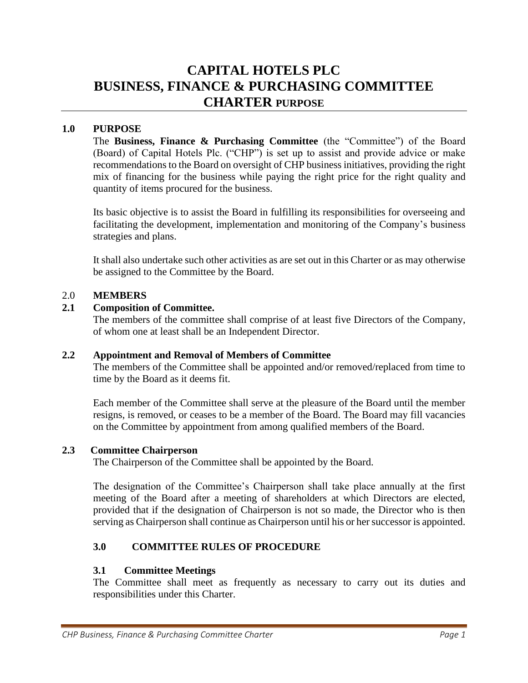# **CAPITAL HOTELS PLC BUSINESS, FINANCE & PURCHASING COMMITTEE CHARTER PURPOSE**

## **1.0 PURPOSE**

The **Business, Finance & Purchasing Committee** (the "Committee") of the Board (Board) of Capital Hotels Plc. ("CHP") is set up to assist and provide advice or make recommendations to the Board on oversight of CHP business initiatives, providing the right mix of financing for the business while paying the right price for the right quality and quantity of items procured for the business.

Its basic objective is to assist the Board in fulfilling its responsibilities for overseeing and facilitating the development, implementation and monitoring of the Company's business strategies and plans.

It shall also undertake such other activities as are set out in this Charter or as may otherwise be assigned to the Committee by the Board.

#### 2.0 **MEMBERS**

## **2.1 Composition of Committee.**

The members of the committee shall comprise of at least five Directors of the Company, of whom one at least shall be an Independent Director.

#### **2.2 Appointment and Removal of Members of Committee**

The members of the Committee shall be appointed and/or removed/replaced from time to time by the Board as it deems fit.

Each member of the Committee shall serve at the pleasure of the Board until the member resigns, is removed, or ceases to be a member of the Board. The Board may fill vacancies on the Committee by appointment from among qualified members of the Board.

#### **2.3 Committee Chairperson**

The Chairperson of the Committee shall be appointed by the Board.

The designation of the Committee's Chairperson shall take place annually at the first meeting of the Board after a meeting of shareholders at which Directors are elected, provided that if the designation of Chairperson is not so made, the Director who is then serving as Chairperson shall continue as Chairperson until his or her successor is appointed.

## **3.0 COMMITTEE RULES OF PROCEDURE**

#### **3.1 Committee Meetings**

The Committee shall meet as frequently as necessary to carry out its duties and responsibilities under this Charter.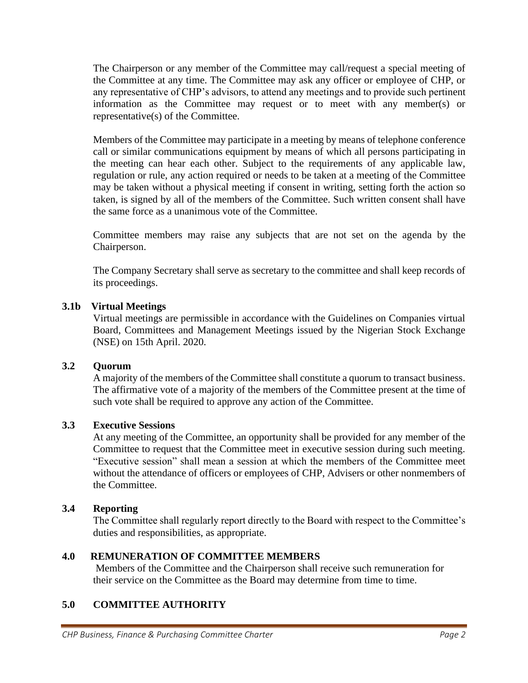The Chairperson or any member of the Committee may call/request a special meeting of the Committee at any time. The Committee may ask any officer or employee of CHP, or any representative of CHP's advisors, to attend any meetings and to provide such pertinent information as the Committee may request or to meet with any member(s) or representative(s) of the Committee.

Members of the Committee may participate in a meeting by means of telephone conference call or similar communications equipment by means of which all persons participating in the meeting can hear each other. Subject to the requirements of any applicable law, regulation or rule, any action required or needs to be taken at a meeting of the Committee may be taken without a physical meeting if consent in writing, setting forth the action so taken, is signed by all of the members of the Committee. Such written consent shall have the same force as a unanimous vote of the Committee.

Committee members may raise any subjects that are not set on the agenda by the Chairperson.

The Company Secretary shall serve as secretary to the committee and shall keep records of its proceedings.

## **3.1b Virtual Meetings**

Virtual meetings are permissible in accordance with the Guidelines on Companies virtual Board, Committees and Management Meetings issued by the Nigerian Stock Exchange (NSE) on 15th April. 2020.

## **3.2 Quorum**

A majority of the members of the Committee shall constitute a quorum to transact business. The affirmative vote of a majority of the members of the Committee present at the time of such vote shall be required to approve any action of the Committee.

## **3.3 Executive Sessions**

At any meeting of the Committee, an opportunity shall be provided for any member of the Committee to request that the Committee meet in executive session during such meeting. "Executive session" shall mean a session at which the members of the Committee meet without the attendance of officers or employees of CHP, Advisers or other nonmembers of the Committee.

## **3.4 Reporting**

The Committee shall regularly report directly to the Board with respect to the Committee's duties and responsibilities, as appropriate.

## **4.0 REMUNERATION OF COMMITTEE MEMBERS**

 Members of the Committee and the Chairperson shall receive such remuneration for their service on the Committee as the Board may determine from time to time.

## **5.0 COMMITTEE AUTHORITY**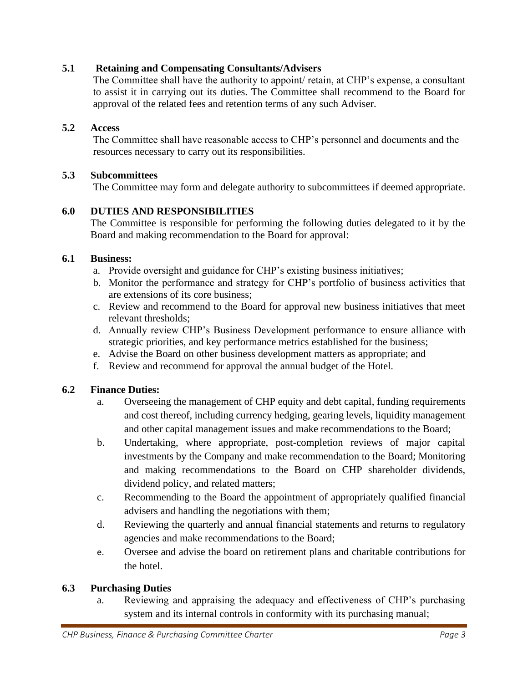## **5.1 Retaining and Compensating Consultants/Advisers**

The Committee shall have the authority to appoint/ retain, at CHP's expense, a consultant to assist it in carrying out its duties. The Committee shall recommend to the Board for approval of the related fees and retention terms of any such Adviser.

## **5.2 Access**

 The Committee shall have reasonable access to CHP's personnel and documents and the resources necessary to carry out its responsibilities.

## **5.3 Subcommittees**

The Committee may form and delegate authority to subcommittees if deemed appropriate.

## **6.0 DUTIES AND RESPONSIBILITIES**

The Committee is responsible for performing the following duties delegated to it by the Board and making recommendation to the Board for approval:

#### **6.1 Business:**

- a. Provide oversight and guidance for CHP's existing business initiatives;
- b. Monitor the performance and strategy for CHP's portfolio of business activities that are extensions of its core business;
- c. Review and recommend to the Board for approval new business initiatives that meet relevant thresholds;
- d. Annually review CHP's Business Development performance to ensure alliance with strategic priorities, and key performance metrics established for the business;
- e. Advise the Board on other business development matters as appropriate; and
- f. Review and recommend for approval the annual budget of the Hotel.

## **6.2 Finance Duties:**

- a. Overseeing the management of CHP equity and debt capital, funding requirements and cost thereof, including currency hedging, gearing levels, liquidity management and other capital management issues and make recommendations to the Board;
- b. Undertaking, where appropriate, post-completion reviews of major capital investments by the Company and make recommendation to the Board; Monitoring and making recommendations to the Board on CHP shareholder dividends, dividend policy, and related matters;
- c. Recommending to the Board the appointment of appropriately qualified financial advisers and handling the negotiations with them;
- d. Reviewing the quarterly and annual financial statements and returns to regulatory agencies and make recommendations to the Board;
- e. Oversee and advise the board on retirement plans and charitable contributions for the hotel.

## **6.3 Purchasing Duties**

a. Reviewing and appraising the adequacy and effectiveness of CHP's purchasing system and its internal controls in conformity with its purchasing manual;